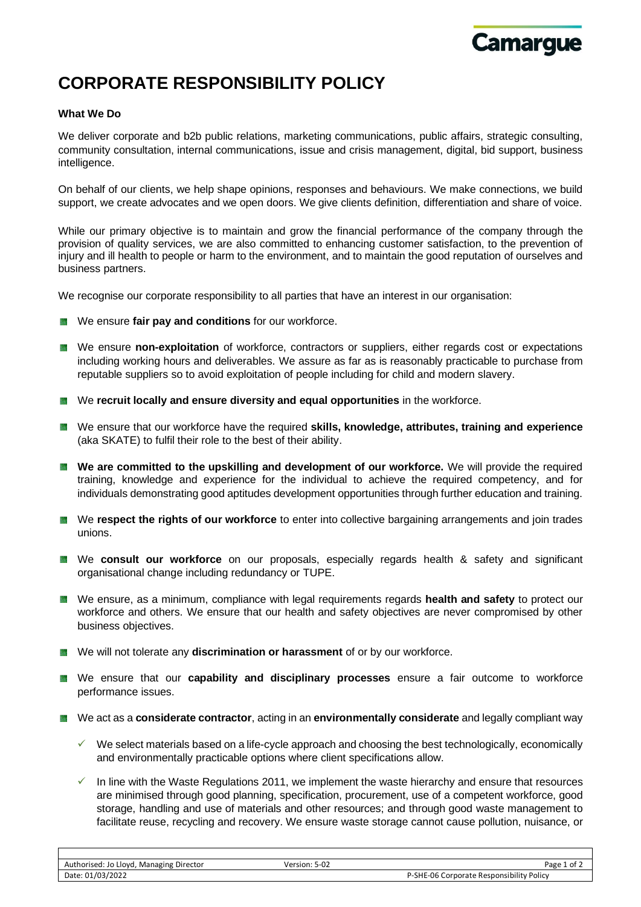

## **CORPORATE RESPONSIBILITY POLICY**

## **What We Do**

We deliver corporate and b2b public relations, marketing communications, public affairs, strategic consulting, community consultation, internal communications, issue and crisis management, digital, bid support, business intelligence.

On behalf of our clients, we help shape opinions, responses and behaviours. We make connections, we build support, we create advocates and we open doors. We give clients definition, differentiation and share of voice.

While our primary objective is to maintain and grow the financial performance of the company through the provision of quality services, we are also committed to enhancing customer satisfaction, to the prevention of injury and ill health to people or harm to the environment, and to maintain the good reputation of ourselves and business partners.

We recognise our corporate responsibility to all parties that have an interest in our organisation:

- **EXECUTE:** We ensure fair pay and conditions for our workforce.
- **EX** We ensure non-exploitation of workforce, contractors or suppliers, either regards cost or expectations including working hours and deliverables. We assure as far as is reasonably practicable to purchase from reputable suppliers so to avoid exploitation of people including for child and modern slavery.
- **EXECUTE:** We **recruit locally and ensure diversity and equal opportunities** in the workforce.
- We ensure that our workforce have the required **skills, knowledge, attributes, training and experience** (aka SKATE) to fulfil their role to the best of their ability.
- **EXECTED We are committed to the upskilling and development of our workforce.** We will provide the required training, knowledge and experience for the individual to achieve the required competency, and for individuals demonstrating good aptitudes development opportunities through further education and training.
- **EXECT:** We **respect the rights of our workforce** to enter into collective bargaining arrangements and join trades unions.
- We **consult our workforce** on our proposals, especially regards health & safety and significant organisational change including redundancy or TUPE.
- We ensure, as a minimum, compliance with legal requirements regards **health and safety** to protect our workforce and others. We ensure that our health and safety objectives are never compromised by other business objectives.
- We will not tolerate any **discrimination or harassment** of or by our workforce.
- We ensure that our **capability and disciplinary processes** ensure a fair outcome to workforce performance issues.
- We act as a **considerate contractor**, acting in an **environmentally considerate** and legally compliant way
	- $\checkmark$  We select materials based on a life-cycle approach and choosing the best technologically, economically and environmentally practicable options where client specifications allow.
	- $\checkmark$  In line with the Waste Regulations 2011, we implement the waste hierarchy and ensure that resources are minimised through good planning, specification, procurement, use of a competent workforce, good storage, handling and use of materials and other resources; and through good waste management to facilitate reuse, recycling and recovery. We ensure waste storage cannot cause pollution, nuisance, or